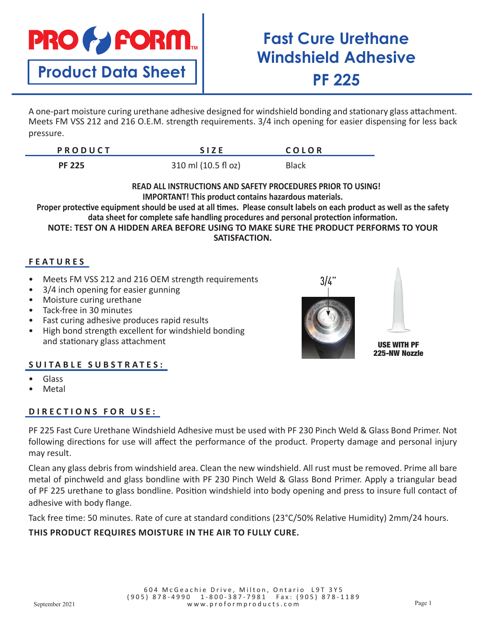

**Product Data Sheet**

# **Fast Cure Urethane Windshield Adhesive PF 225**

A one-part moisture curing urethane adhesive designed for windshield bonding and stationary glass attachment. Meets FM VSS 212 and 216 O.E.M. strength requirements. 3/4 inch opening for easier dispensing for less back pressure.

| <b>PRODUCT</b> | <b>SIZE</b>         | COLOR        |  |
|----------------|---------------------|--------------|--|
| <b>PF 225</b>  | 310 ml (10.5 fl oz) | <b>Black</b> |  |

### **READ ALL INSTRUCTIONS AND SAFETY PROCEDURES PRIOR TO USING! IMPORTANT! This product contains hazardous materials.**

**Proper protective equipment should be used at all times. Please consult labels on each product as well as the safety data sheet for complete safe handling procedures and personal protection information. NOTE: TEST ON A HIDDEN AREA BEFORE USING TO MAKE SURE THE PRODUCT PERFORMS TO YOUR SATISFACTION.**

# **FEATURES**

- Meets FM VSS 212 and 216 OEM strength requirements
- 3/4 inch opening for easier gunning
- Moisture curing urethane
- Tack-free in 30 minutes
- Fast curing adhesive produces rapid results
- High bond strength excellent for windshield bonding and stationary glass attachment

## **SUITABLE SUBSTRATES:**

- Glass
- **Metal**

## **DIRECTIONS FOR USE:**

PF 225 Fast Cure Urethane Windshield Adhesive must be used with PF 230 Pinch Weld & Glass Bond Primer. Not following directions for use will affect the performance of the product. Property damage and personal injury may result.

Clean any glass debris from windshield area. Clean the new windshield. All rust must be removed. Prime all bare metal of pinchweld and glass bondline with PF 230 Pinch Weld & Glass Bond Primer. Apply a triangular bead of PF 225 urethane to glass bondline. Position windshield into body opening and press to insure full contact of adhesive with body flange.

Tack free time: 50 minutes. Rate of cure at standard conditions (23°C/50% Relative Humidity) 2mm/24 hours.

## **THIS PRODUCT REQUIRES MOISTURE IN THE AIR TO FULLY CURE.**





USE WITH PF 225-NW Nozzle